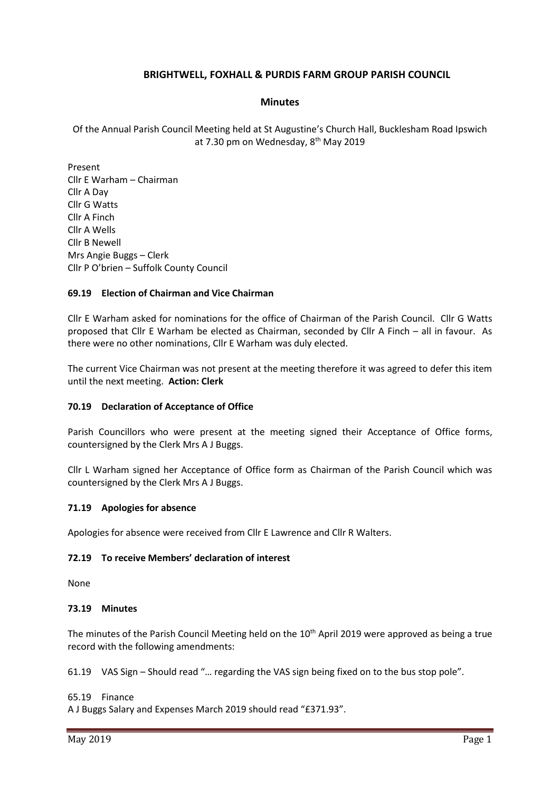# **BRIGHTWELL, FOXHALL & PURDIS FARM GROUP PARISH COUNCIL**

## **Minutes**

Of the Annual Parish Council Meeting held at St Augustine's Church Hall, Bucklesham Road Ipswich at 7.30 pm on Wednesday, 8<sup>th</sup> May 2019

Present Cllr E Warham – Chairman Cllr A Day Cllr G Watts Cllr A Finch Cllr A Wells Cllr B Newell Mrs Angie Buggs – Clerk Cllr P O'brien – Suffolk County Council

## **69.19 Election of Chairman and Vice Chairman**

Cllr E Warham asked for nominations for the office of Chairman of the Parish Council. Cllr G Watts proposed that Cllr E Warham be elected as Chairman, seconded by Cllr A Finch – all in favour. As there were no other nominations, Cllr E Warham was duly elected.

The current Vice Chairman was not present at the meeting therefore it was agreed to defer this item until the next meeting. **Action: Clerk**

## **70.19 Declaration of Acceptance of Office**

Parish Councillors who were present at the meeting signed their Acceptance of Office forms, countersigned by the Clerk Mrs A J Buggs.

Cllr L Warham signed her Acceptance of Office form as Chairman of the Parish Council which was countersigned by the Clerk Mrs A J Buggs.

## **71.19 Apologies for absence**

Apologies for absence were received from Cllr E Lawrence and Cllr R Walters.

## **72.19 To receive Members' declaration of interest**

None

#### **73.19 Minutes**

The minutes of the Parish Council Meeting held on the 10<sup>th</sup> April 2019 were approved as being a true record with the following amendments:

61.19 VAS Sign – Should read "… regarding the VAS sign being fixed on to the bus stop pole".

#### 65.19 Finance

A J Buggs Salary and Expenses March 2019 should read "£371.93".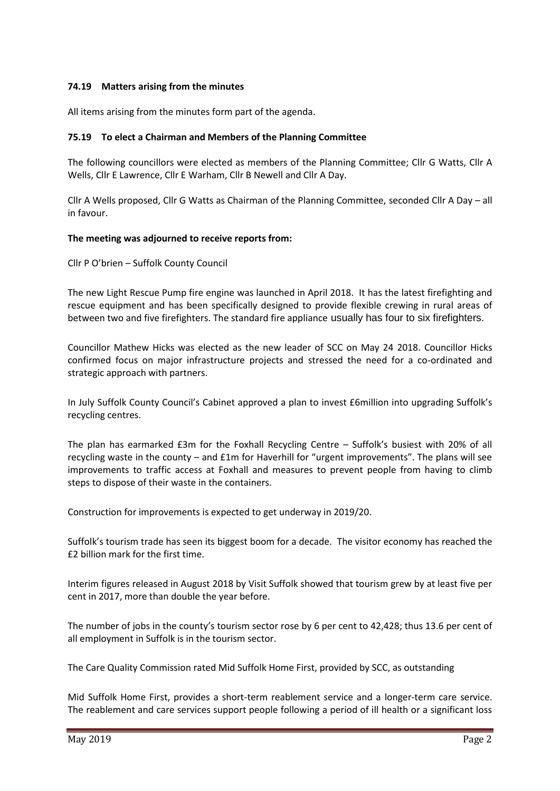## **74.19 Matters arising from the minutes**

All items arising from the minutes form part of the agenda.

## **75.19 To elect a Chairman and Members of the Planning Committee**

The following councillors were elected as members of the Planning Committee; Cllr G Watts, Cllr A Wells, Cllr E Lawrence, Cllr E Warham, Cllr B Newell and Cllr A Day.

Cllr A Wells proposed, Cllr G Watts as Chairman of the Planning Committee, seconded Cllr A Day – all in favour.

## **The meeting was adjourned to receive reports from:**

Cllr P O'brien – Suffolk County Council

The new Light Rescue Pump fire engine was launched in April 2018. It has the latest firefighting and rescue equipment and has been specifically designed to provide flexible crewing in rural areas of between two and five firefighters. The standard fire appliance usually has four to six firefighters.

Councillor Mathew Hicks was elected as the new leader of SCC on May 24 2018. Councillor Hicks confirmed focus on major infrastructure projects and stressed the need for a co-ordinated and strategic approach with partners.

In July Suffolk County Council's Cabinet approved a plan to invest £6million into upgrading Suffolk's recycling centres.

The plan has earmarked £3m for the Foxhall Recycling Centre – Suffolk's busiest with 20% of all recycling waste in the county – and £1m for Haverhill for "urgent improvements". The plans will see improvements to traffic access at Foxhall and measures to prevent people from having to climb steps to dispose of their waste in the containers.

Construction for improvements is expected to get underway in 2019/20.

Suffolk's tourism trade has seen its biggest boom for a decade. The visitor economy has reached the £2 billion mark for the first time.

Interim figures released in August 2018 by Visit Suffolk showed that tourism grew by at least five per cent in 2017, more than double the year before.

The number of jobs in the county's tourism sector rose by 6 per cent to 42,428; thus 13.6 per cent of all employment in Suffolk is in the tourism sector.

The Care Quality Commission rated Mid Suffolk Home First, provided by SCC, as outstanding

Mid Suffolk Home First, provides a short-term reablement service and a longer-term care service. The reablement and care services support people following a period of ill health or a significant loss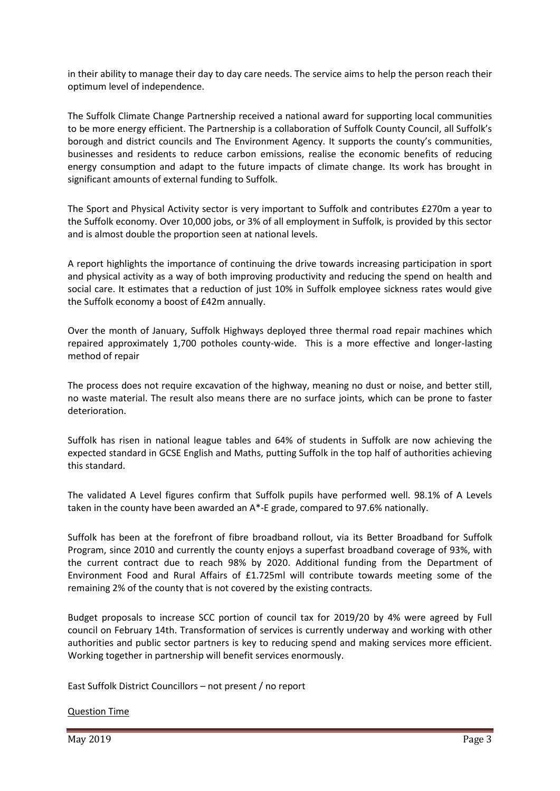in their ability to manage their day to day care needs. The service aims to help the person reach their optimum level of independence.

The Suffolk Climate Change Partnership received a national award for supporting local communities to be more energy efficient. The Partnership is a collaboration of Suffolk County Council, all Suffolk's borough and district councils and The Environment Agency. It supports the county's communities, businesses and residents to reduce carbon emissions, realise the economic benefits of reducing energy consumption and adapt to the future impacts of climate change. Its work has brought in significant amounts of external funding to Suffolk.

The Sport and Physical Activity sector is very important to Suffolk and contributes £270m a year to the Suffolk economy. Over 10,000 jobs, or 3% of all employment in Suffolk, is provided by this sector and is almost double the proportion seen at national levels.

A report highlights the importance of continuing the drive towards increasing participation in sport and physical activity as a way of both improving productivity and reducing the spend on health and social care. It estimates that a reduction of just 10% in Suffolk employee sickness rates would give the Suffolk economy a boost of £42m annually.

Over the month of January, Suffolk Highways deployed three thermal road repair machines which repaired approximately 1,700 potholes county-wide. This is a more effective and longer-lasting method of repair

The process does not require excavation of the highway, meaning no dust or noise, and better still, no waste material. The result also means there are no surface joints, which can be prone to faster deterioration.

Suffolk has risen in national league tables and 64% of students in Suffolk are now achieving the expected standard in GCSE English and Maths, putting Suffolk in the top half of authorities achieving this standard.

The validated A Level figures confirm that Suffolk pupils have performed well. 98.1% of A Levels taken in the county have been awarded an A\*-E grade, compared to 97.6% nationally.

Suffolk has been at the forefront of fibre broadband rollout, via its Better Broadband for Suffolk Program, since 2010 and currently the county enjoys a superfast broadband coverage of 93%, with the current contract due to reach 98% by 2020. Additional funding from the Department of Environment Food and Rural Affairs of £1.725ml will contribute towards meeting some of the remaining 2% of the county that is not covered by the existing contracts.

Budget proposals to increase SCC portion of council tax for 2019/20 by 4% were agreed by Full council on February 14th. Transformation of services is currently underway and working with other authorities and public sector partners is key to reducing spend and making services more efficient. Working together in partnership will benefit services enormously.

East Suffolk District Councillors – not present / no report

Question Time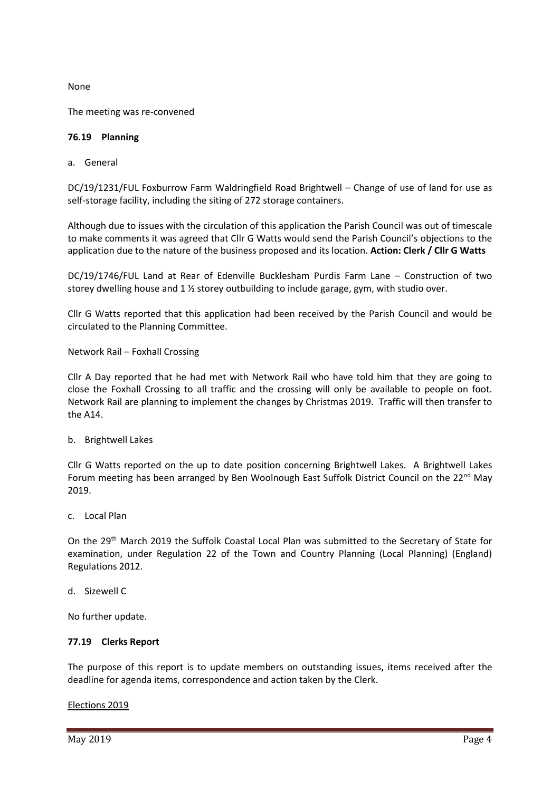None

The meeting was re-convened

## **76.19 Planning**

### a. General

DC/19/1231/FUL Foxburrow Farm Waldringfield Road Brightwell – Change of use of land for use as self-storage facility, including the siting of 272 storage containers.

Although due to issues with the circulation of this application the Parish Council was out of timescale to make comments it was agreed that Cllr G Watts would send the Parish Council's objections to the application due to the nature of the business proposed and its location. **Action: Clerk / Cllr G Watts**

DC/19/1746/FUL Land at Rear of Edenville Bucklesham Purdis Farm Lane – Construction of two storey dwelling house and 1 ½ storey outbuilding to include garage, gym, with studio over.

Cllr G Watts reported that this application had been received by the Parish Council and would be circulated to the Planning Committee.

Network Rail – Foxhall Crossing

Cllr A Day reported that he had met with Network Rail who have told him that they are going to close the Foxhall Crossing to all traffic and the crossing will only be available to people on foot. Network Rail are planning to implement the changes by Christmas 2019. Traffic will then transfer to the A14.

b. Brightwell Lakes

Cllr G Watts reported on the up to date position concerning Brightwell Lakes. A Brightwell Lakes Forum meeting has been arranged by Ben Woolnough East Suffolk District Council on the  $22^{nd}$  May 2019.

c. Local Plan

On the 29th March 2019 the Suffolk Coastal Local Plan was submitted to the Secretary of State for examination, under Regulation 22 of the Town and Country Planning (Local Planning) (England) Regulations 2012.

d. Sizewell C

No further update.

## **77.19 Clerks Report**

The purpose of this report is to update members on outstanding issues, items received after the deadline for agenda items, correspondence and action taken by the Clerk.

Elections 2019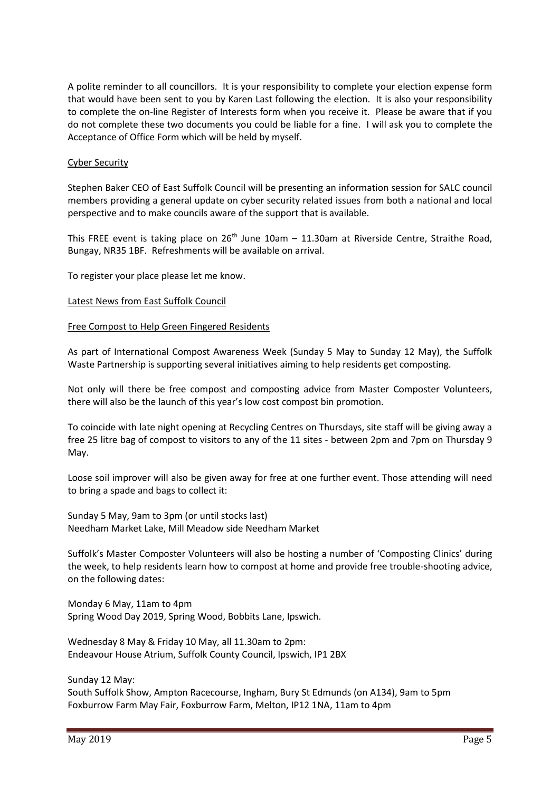A polite reminder to all councillors. It is your responsibility to complete your election expense form that would have been sent to you by Karen Last following the election. It is also your responsibility to complete the on-line Register of Interests form when you receive it. Please be aware that if you do not complete these two documents you could be liable for a fine. I will ask you to complete the Acceptance of Office Form which will be held by myself.

## Cyber Security

Stephen Baker CEO of East Suffolk Council will be presenting an information session for SALC council members providing a general update on cyber security related issues from both a national and local perspective and to make councils aware of the support that is available.

This FREE event is taking place on  $26<sup>th</sup>$  June 10am – 11.30am at Riverside Centre, Straithe Road, Bungay, NR35 1BF. Refreshments will be available on arrival.

To register your place please let me know.

### Latest News from East Suffolk Council

### Free Compost to Help Green Fingered Residents

As part of International Compost Awareness Week (Sunday 5 May to Sunday 12 May), the Suffolk Waste Partnership is supporting several initiatives aiming to help residents get composting.

Not only will there be free compost and composting advice from Master Composter Volunteers, there will also be the launch of this year's low cost compost bin promotion.

To coincide with late night opening at Recycling Centres on Thursdays, site staff will be giving away a free 25 litre bag of compost to visitors to any of the 11 sites - between 2pm and 7pm on Thursday 9 May.

Loose soil improver will also be given away for free at one further event. Those attending will need to bring a spade and bags to collect it:

Sunday 5 May, 9am to 3pm (or until stocks last) Needham Market Lake, Mill Meadow side Needham Market

Suffolk's Master Composter Volunteers will also be hosting a number of 'Composting Clinics' during the week, to help residents learn how to compost at home and provide free trouble-shooting advice, on the following dates:

Monday 6 May, 11am to 4pm Spring Wood Day 2019, Spring Wood, Bobbits Lane, Ipswich.

Wednesday 8 May & Friday 10 May, all 11.30am to 2pm: Endeavour House Atrium, Suffolk County Council, Ipswich, IP1 2BX

Sunday 12 May:

South Suffolk Show, Ampton Racecourse, Ingham, Bury St Edmunds (on A134), 9am to 5pm Foxburrow Farm May Fair, Foxburrow Farm, Melton, IP12 1NA, 11am to 4pm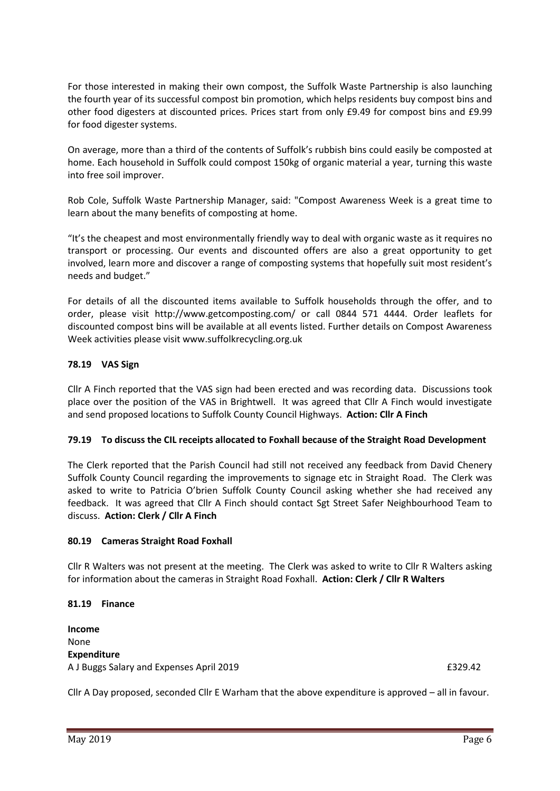For those interested in making their own compost, the Suffolk Waste Partnership is also launching the fourth year of its successful compost bin promotion, which helps residents buy compost bins and other food digesters at discounted prices. Prices start from only £9.49 for compost bins and £9.99 for food digester systems.

On average, more than a third of the contents of Suffolk's rubbish bins could easily be composted at home. Each household in Suffolk could compost 150kg of organic material a year, turning this waste into free soil improver.

Rob Cole, Suffolk Waste Partnership Manager, said: "Compost Awareness Week is a great time to learn about the many benefits of composting at home.

"It's the cheapest and most environmentally friendly way to deal with organic waste as it requires no transport or processing. Our events and discounted offers are also a great opportunity to get involved, learn more and discover a range of composting systems that hopefully suit most resident's needs and budget."

For details of all the discounted items available to Suffolk households through the offer, and to order, please visit <http://www.getcomposting.com/> or call 0844 571 4444. Order leaflets for discounted compost bins will be available at all events listed. Further details on Compost Awareness Week activities please visit [www.suffolkrecycling.org.uk](http://www.suffolkrecycling.org.uk/)

# **78.19 VAS Sign**

Cllr A Finch reported that the VAS sign had been erected and was recording data. Discussions took place over the position of the VAS in Brightwell. It was agreed that Cllr A Finch would investigate and send proposed locations to Suffolk County Council Highways. **Action: Cllr A Finch**

# **79.19 To discuss the CIL receipts allocated to Foxhall because of the Straight Road Development**

The Clerk reported that the Parish Council had still not received any feedback from David Chenery Suffolk County Council regarding the improvements to signage etc in Straight Road. The Clerk was asked to write to Patricia O'brien Suffolk County Council asking whether she had received any feedback. It was agreed that Cllr A Finch should contact Sgt Street Safer Neighbourhood Team to discuss. **Action: Clerk / Cllr A Finch**

## **80.19 Cameras Straight Road Foxhall**

Cllr R Walters was not present at the meeting. The Clerk was asked to write to Cllr R Walters asking for information about the cameras in Straight Road Foxhall. **Action: Clerk / Cllr R Walters**

## **81.19 Finance**

**Income** None **Expenditure** A J Buggs Salary and Expenses April 2019 **EXPENSION EXPENSION** E329.42

Cllr A Day proposed, seconded Cllr E Warham that the above expenditure is approved – all in favour.